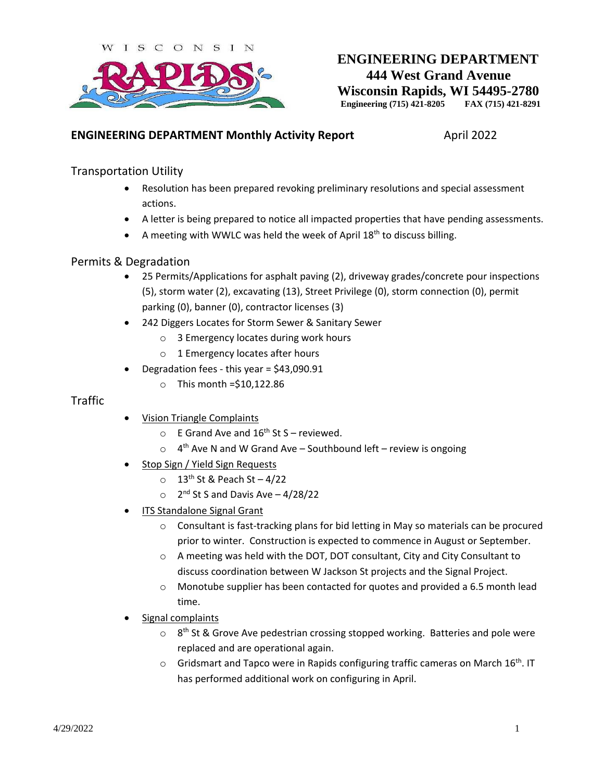

# **ENGINEERING DEPARTMENT 444 West Grand Avenue Wisconsin Rapids, WI 54495-2780**<br>Engineering (715) 421-8205 FAX (715) 421-8291 **Engineering (715) 421-8205**

#### **ENGINEERING DEPARTMENT Monthly Activity Report** April 2022

### Transportation Utility

- Resolution has been prepared revoking preliminary resolutions and special assessment actions.
- A letter is being prepared to notice all impacted properties that have pending assessments.
- A meeting with WWLC was held the week of April 18<sup>th</sup> to discuss billing.

#### Permits & Degradation

- 25 Permits/Applications for asphalt paving (2), driveway grades/concrete pour inspections (5), storm water (2), excavating (13), Street Privilege (0), storm connection (0), permit parking (0), banner (0), contractor licenses (3)
- 242 Diggers Locates for Storm Sewer & Sanitary Sewer
	- o 3 Emergency locates during work hours
	- o 1 Emergency locates after hours
- Degradation fees this year = \$43,090.91
	- $\circ$  This month = \$10,122.86

#### **Traffic**

- Vision Triangle Complaints
	- $\circ$  E Grand Ave and 16<sup>th</sup> St S reviewed.
	- $\circ$  4<sup>th</sup> Ave N and W Grand Ave Southbound left review is ongoing
- Stop Sign / Yield Sign Requests
	- $\circ$  13<sup>th</sup> St & Peach St 4/22
	- $\circ$  2<sup>nd</sup> St S and Davis Ave 4/28/22
- ITS Standalone Signal Grant
	- $\circ$  Consultant is fast-tracking plans for bid letting in May so materials can be procured prior to winter. Construction is expected to commence in August or September.
	- $\circ$  A meeting was held with the DOT, DOT consultant, City and City Consultant to discuss coordination between W Jackson St projects and the Signal Project.
	- $\circ$  Monotube supplier has been contacted for quotes and provided a 6.5 month lead time.
- Signal complaints
	- $\circ$  8<sup>th</sup> St & Grove Ave pedestrian crossing stopped working. Batteries and pole were replaced and are operational again.
	- $\circ$  Gridsmart and Tapco were in Rapids configuring traffic cameras on March 16<sup>th</sup>. IT has performed additional work on configuring in April.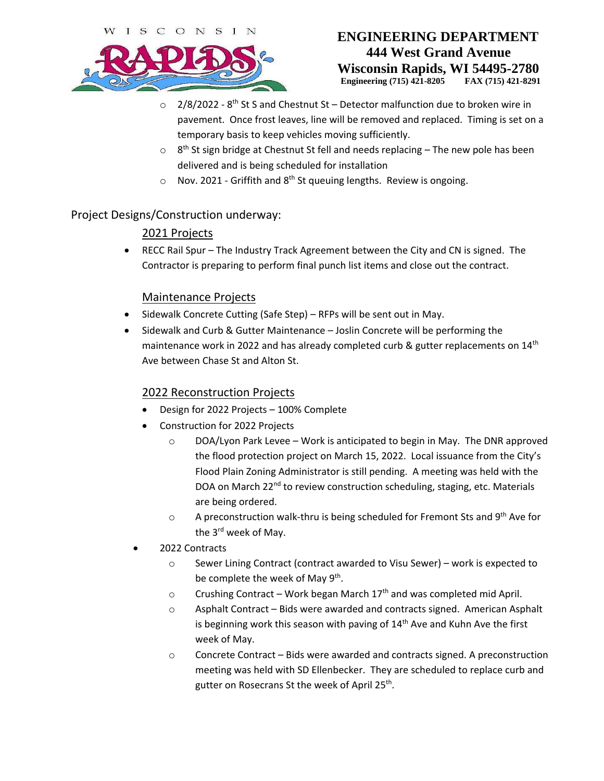

# **ENGINEERING DEPARTMENT 444 West Grand Avenue Wisconsin Rapids, WI 54495-2780 Engineering (715) 421-8205 FAX (715) 421-8291**

- $\circ$  2/8/2022 8<sup>th</sup> St S and Chestnut St Detector malfunction due to broken wire in pavement. Once frost leaves, line will be removed and replaced. Timing is set on a temporary basis to keep vehicles moving sufficiently.
- $\circ$  8<sup>th</sup> St sign bridge at Chestnut St fell and needs replacing The new pole has been delivered and is being scheduled for installation
- $\circ$  Nov. 2021 Griffith and 8<sup>th</sup> St queuing lengths. Review is ongoing.

## Project Designs/Construction underway:

# 2021 Projects

 RECC Rail Spur – The Industry Track Agreement between the City and CN is signed. The Contractor is preparing to perform final punch list items and close out the contract.

### Maintenance Projects

- Sidewalk Concrete Cutting (Safe Step) RFPs will be sent out in May.
- Sidewalk and Curb & Gutter Maintenance Joslin Concrete will be performing the maintenance work in 2022 and has already completed curb & gutter replacements on  $14<sup>th</sup>$ Ave between Chase St and Alton St.

## 2022 Reconstruction Projects

- Design for 2022 Projects 100% Complete
- Construction for 2022 Projects
	- $\circ$  DOA/Lyon Park Levee Work is anticipated to begin in May. The DNR approved the flood protection project on March 15, 2022. Local issuance from the City's Flood Plain Zoning Administrator is still pending. A meeting was held with the DOA on March 22<sup>nd</sup> to review construction scheduling, staging, etc. Materials are being ordered.
	- $\circ$  A preconstruction walk-thru is being scheduled for Fremont Sts and 9<sup>th</sup> Ave for the 3<sup>rd</sup> week of May.
- 2022 Contracts
	- o Sewer Lining Contract (contract awarded to Visu Sewer) work is expected to be complete the week of May 9<sup>th</sup>.
	- $\circ$  Crushing Contract Work began March 17<sup>th</sup> and was completed mid April.
	- $\circ$  Asphalt Contract Bids were awarded and contracts signed. American Asphalt is beginning work this season with paving of  $14<sup>th</sup>$  Ave and Kuhn Ave the first week of May.
	- o Concrete Contract Bids were awarded and contracts signed. A preconstruction meeting was held with SD Ellenbecker. They are scheduled to replace curb and gutter on Rosecrans St the week of April 25<sup>th</sup>.